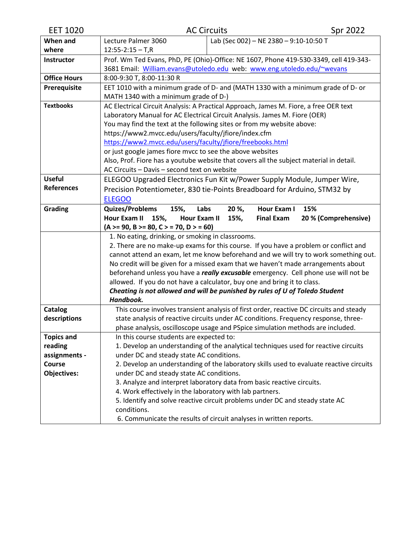| <b>EET 1020</b>     |                                                                                                                                                                                | <b>AC Circuits</b>                     | <b>Spr 2022</b>      |  |
|---------------------|--------------------------------------------------------------------------------------------------------------------------------------------------------------------------------|----------------------------------------|----------------------|--|
| When and            | Lecture Palmer 3060                                                                                                                                                            | Lab (Sec 002) - NE 2380 - 9:10-10:50 T |                      |  |
| where               | $12:55 - 2:15 - T$ ,R                                                                                                                                                          |                                        |                      |  |
| Instructor          | Prof. Wm Ted Evans, PhD, PE (Ohio)-Office: NE 1607, Phone 419-530-3349, cell 419-343-                                                                                          |                                        |                      |  |
|                     | 3681 Email: William.evans@utoledo.edu web: www.eng.utoledo.edu/~wevans                                                                                                         |                                        |                      |  |
| <b>Office Hours</b> | 8:00-9:30 T, 8:00-11:30 R                                                                                                                                                      |                                        |                      |  |
| Prerequisite        | EET 1010 with a minimum grade of D- and (MATH 1330 with a minimum grade of D- or                                                                                               |                                        |                      |  |
|                     | MATH 1340 with a minimum grade of D-)                                                                                                                                          |                                        |                      |  |
| <b>Textbooks</b>    | AC Electrical Circuit Analysis: A Practical Approach, James M. Fiore, a free OER text                                                                                          |                                        |                      |  |
|                     | Laboratory Manual for AC Electrical Circuit Analysis. James M. Fiore (OER)                                                                                                     |                                        |                      |  |
|                     | You may find the text at the following sites or from my website above:                                                                                                         |                                        |                      |  |
|                     | https://www2.mvcc.edu/users/faculty/jfiore/index.cfm                                                                                                                           |                                        |                      |  |
|                     | https://www2.mvcc.edu/users/faculty/jfiore/freebooks.html                                                                                                                      |                                        |                      |  |
|                     | or just google james fiore mvcc to see the above websites                                                                                                                      |                                        |                      |  |
|                     | Also, Prof. Fiore has a youtube website that covers all the subject material in detail.                                                                                        |                                        |                      |  |
|                     | AC Circuits - Davis - second text on website                                                                                                                                   |                                        |                      |  |
| <b>Useful</b>       | ELEGOO Upgraded Electronics Fun Kit w/Power Supply Module, Jumper Wire,                                                                                                        |                                        |                      |  |
| <b>References</b>   | Precision Potentiometer, 830 tie-Points Breadboard for Arduino, STM32 by                                                                                                       |                                        |                      |  |
|                     | <b>ELEGOO</b>                                                                                                                                                                  |                                        |                      |  |
| Grading             | <b>Quizes/Problems</b><br>Labs<br>15%,                                                                                                                                         | 20 %,<br>Hour Exam I<br>15%            |                      |  |
|                     | <b>Hour Exam II</b><br>15%,<br><b>Hour Exam II</b>                                                                                                                             | <b>Final Exam</b><br>15%,              | 20 % (Comprehensive) |  |
|                     | $(A \ge 90, B \ge 80, C \ge 70, D \ge 60)$                                                                                                                                     |                                        |                      |  |
|                     | 1. No eating, drinking, or smoking in classrooms.                                                                                                                              |                                        |                      |  |
|                     | 2. There are no make-up exams for this course. If you have a problem or conflict and                                                                                           |                                        |                      |  |
|                     | cannot attend an exam, let me know beforehand and we will try to work something out.                                                                                           |                                        |                      |  |
|                     | No credit will be given for a missed exam that we haven't made arrangements about                                                                                              |                                        |                      |  |
|                     | beforehand unless you have a really excusable emergency. Cell phone use will not be                                                                                            |                                        |                      |  |
|                     | allowed. If you do not have a calculator, buy one and bring it to class.                                                                                                       |                                        |                      |  |
|                     | Cheating is not allowed and will be punished by rules of U of Toledo Student<br>Handbook.                                                                                      |                                        |                      |  |
| Catalog             |                                                                                                                                                                                |                                        |                      |  |
| descriptions        | This course involves transient analysis of first order, reactive DC circuits and steady<br>state analysis of reactive circuits under AC conditions. Frequency response, three- |                                        |                      |  |
|                     | phase analysis, oscilloscope usage and PSpice simulation methods are included.                                                                                                 |                                        |                      |  |
| <b>Topics and</b>   | In this course students are expected to:                                                                                                                                       |                                        |                      |  |
| reading             | 1. Develop an understanding of the analytical techniques used for reactive circuits                                                                                            |                                        |                      |  |
| assignments -       | under DC and steady state AC conditions.                                                                                                                                       |                                        |                      |  |
| Course              | 2. Develop an understanding of the laboratory skills used to evaluate reactive circuits                                                                                        |                                        |                      |  |
| <b>Objectives:</b>  | under DC and steady state AC conditions.                                                                                                                                       |                                        |                      |  |
|                     | 3. Analyze and interpret laboratory data from basic reactive circuits.                                                                                                         |                                        |                      |  |
|                     | 4. Work effectively in the laboratory with lab partners.                                                                                                                       |                                        |                      |  |
|                     | 5. Identify and solve reactive circuit problems under DC and steady state AC                                                                                                   |                                        |                      |  |
|                     | conditions.                                                                                                                                                                    |                                        |                      |  |
|                     | 6. Communicate the results of circuit analyses in written reports.                                                                                                             |                                        |                      |  |